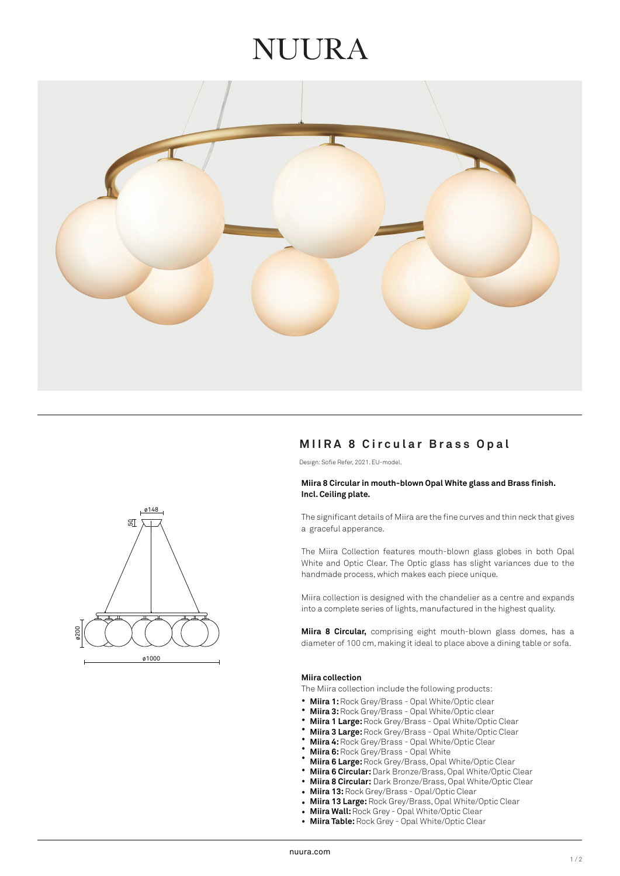## NUIRA



# ø1000 ø200 ø148  $50^{\circ}$

### **MIIRA 8 Circular Brass Opal**

Design: Sofie Refer, 2021. EU-model.

#### **Miira 8 Circular in mouth-blown Opal White glass and Brass finish. Incl. Ceiling plate.**

The significant details of Miira are the fine curves and thin neck that gives a graceful apperance.

The Miira Collection features mouth-blown glass globes in both Opal White and Optic Clear. The Optic glass has slight variances due to the handmade process, which makes each piece unique.

Miira collection is designed with the chandelier as a centre and expands into a complete series of lights, manufactured in the highest quality.

**Miira 8 Circular,** comprising eight mouth-blown glass domes, has a diameter of 100 cm, making it ideal to place above a dining table or sofa.

#### **Miira collection**

The Miira collection include the following products:

- **Miira 1:** Rock Grey/Brass Opal White/Optic clear •
- **Miira 3:** Rock Grey/Brass Opal White/Optic clear •
- **Miira 1 Large:** Rock Grey/Brass Opal White/Optic Clear •
- **Miira 3 Large:** Rock Grey/Brass Opal White/Optic Clear •
- **Miira 4:** Rock Grey/Brass Opal White/Optic Clear •
- **Miira 6:** Rock Grey/Brass Opal White •
- **Miira 6 Large:** Rock Grey/Brass, Opal White/Optic Clear •
- **Miira 6 Circular:** Dark Bronze/Brass, Opal White/Optic Clear •
- **Miira 8 Circular:** Dark Bronze/Brass, Opal White/Optic Clear •
- **Miira 13:** Rock Grey/Brass - Opal/Optic Clear
- **Miira 13 Large:** Rock Grey/Brass, Opal White/Optic Clear •
- **Miira Wall:** Rock Grey Opal White/Optic Clear •
- **Miira Table:** Rock Grey Opal White/Optic Clear •